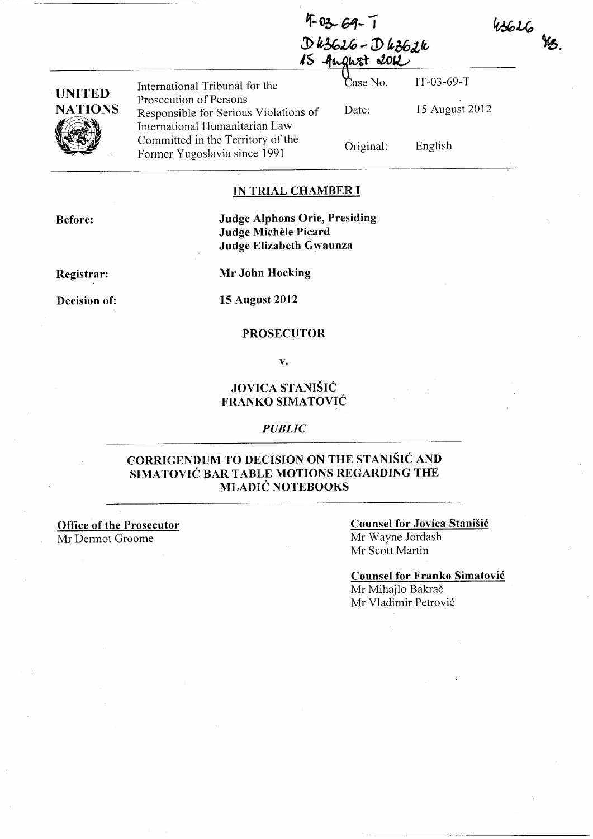$43626$   $913$ .

|                | fugust 2012                                                                                       |           |                |
|----------------|---------------------------------------------------------------------------------------------------|-----------|----------------|
| <b>UNITED</b>  | International Tribunal for the                                                                    | Case No.  | $IT-03-69-T$   |
| <b>NATIONS</b> | Prosecution of Persons<br>Responsible for Serious Violations of<br>International Humanitarian Law | Date:     | 15 August 2012 |
|                | Committed in the Territory of the<br>Former Yugoslavia since 1991                                 | Original: | English        |

## **IN TRIAL CHAMBER I**

**Before:** 

**Judge Alphons Orie, Presiding Judge Michele Picard Judge Elizabeth Gwaunza** 

**Registrar:** 

**Mr John Hocking** 

**15 August 2012** 

### **PROSECUTOR**

**v.** 

# **JOVICA STANISIC FRANKO SIMATOVIC**

## *PUBLIC*

# **CORRIGENDUM TO DECISION ON THE STANISIC AND SIMATOVIC BAR TABLE MOTIONS REGARDING THE MLADIC NOTEBOOKS**

**Office of the Prosecutor**  Mr Dermot Groome

#### **Counsel for Jovica Stanisic**

Mr Wayne Jordash Mr Scott Martin

#### **Counsel for Franko Simatovic**

Mr Mihajlo Bakrač Mr Vladimir Petrovi6

# $4-03-69-1$ J> ~u,u, *...* **CD** *g,36tLt*

**Decision of:**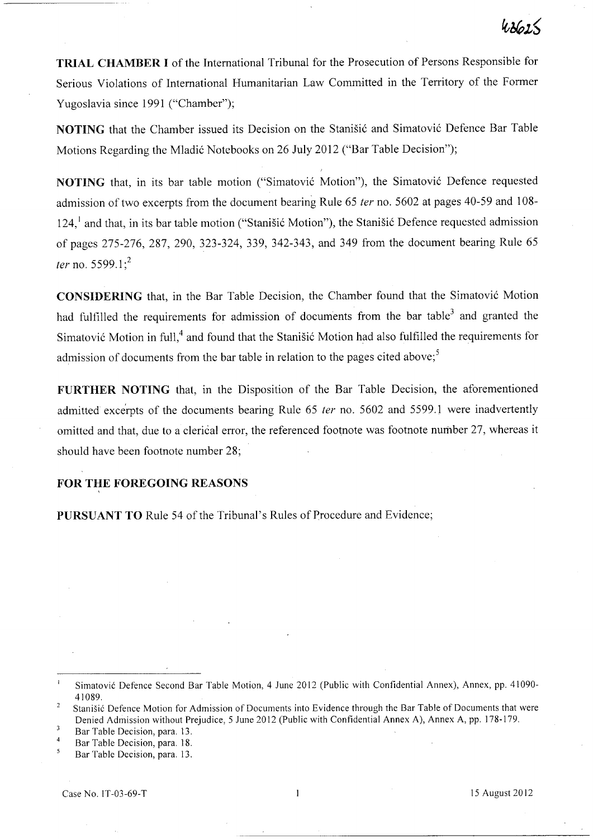**TRIAL CHAMBER I** of the International Tribunal for the Prosecution of Persons Responsible for Serious Violations of International Humanitarian Law Committed in the Territory of the Former Yugoslavia since 1991 ("Chamber");

**NOTING** that the Chamber issued its Decision on the Stanisić and Simatović Defence Bar Table Motions Regarding the Mladić Notebooks on 26 July 2012 ("Bar Table Decision");

**NOTING** that, in its bar table motion ("Simatović Motion"), the Simatović Defence requested admission of two excerpts from the document bearing Rule 65 fer no. 5602 at pages 40-59 and 108- 124,<sup>1</sup> and that, in its bar table motion ("Stanišić Motion"), the Stanišić Defence requested admission of pages 275-276, 287, 290, 323-324, 339, 342-343, and 349 from the document bearing Rule 65 ter no. 5599.1;<sup>2</sup>

**CONSIDERING** that, in the Bar Table Decision, the Chamber found that the Simatović Motion had fulfilled the requirements for admission of documents from the bar table<sup>3</sup> and granted the Simatović Motion in full,<sup>4</sup> and found that the Stanisić Motion had also fulfilled the requirements for admission of documents from the bar table in relation to the pages cited above;<sup>5</sup>

**FURTHER NOTING** that, in the Disposition of the Bar Table Decision, the aforementioned admitted excerpts of the documents bearing Rule 65 ter no. 5602 and 5599.1 were inadvertently omitted and that, due to a clerical error, the referenced footnote was footnote number 27, whereas it should have been footnote number 28;

## **FOR THE FOREGOING REASONS**

**PURSUANT TO** Rule 54 of the Tribunal's Rules of procedure and Evidence;

 $\mathbf{I}$ Simatovic Defence Second Bar Table Motion, 4 June 2012 (Public with Confidential Annex), Annex, pp. 41090- 41089.

Stanisic Defence Motion for Admission of Documents into Evidence through the Bar Table of Documents that were Denied Admission without Prejudice, 5 June 2012 (Public with Confidential Annex A), Annex A, pp. 178-179.

 $\overline{\mathbf{3}}$ Bar Table Decision, para. 13.

<sup>4</sup>  Bar Table Decision, para. 18.

 $\overline{5}$ Bar Table Decision, para. 13.